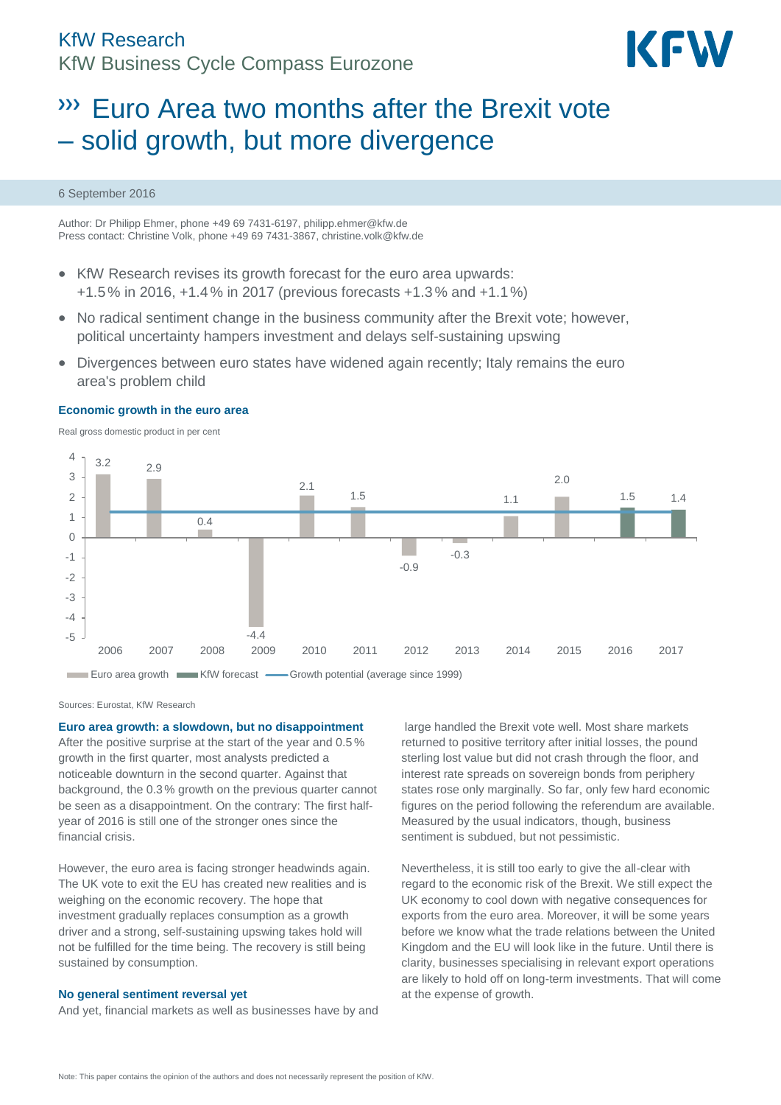# KfW Research KfW Business Cycle Compass Eurozone



# Euro Area two months after the Brexit vote – solid growth, but more divergence

#### 6 September 2016

Author: Dr Philipp Ehmer, phone +49 69 7431-6197, philipp.ehmer@kfw.de Press contact: Christine Volk, phone +49 69 7431-3867[, christine.volk@kfw.de](mailto:christine.volk@kfw.de)

- KfW Research revises its growth forecast for the euro area upwards: +1.5% in 2016, +1.4% in 2017 (previous forecasts +1.3% and +1.1%)
- No radical sentiment change in the business community after the Brexit vote; however, political uncertainty hampers investment and delays self-sustaining upswing
- Divergences between euro states have widened again recently; Italy remains the euro area's problem child

# **Economic growth in the euro area**

Real gross domestic product in per cent



Sources: Eurostat, KfW Research

**Euro area growth: a slowdown, but no disappointment**

After the positive surprise at the start of the year and 0.5 % growth in the first quarter, most analysts predicted a noticeable downturn in the second quarter. Against that background, the 0.3% growth on the previous quarter cannot be seen as a disappointment. On the contrary: The first halfyear of 2016 is still one of the stronger ones since the financial crisis.

However, the euro area is facing stronger headwinds again. The UK vote to exit the EU has created new realities and is weighing on the economic recovery. The hope that investment gradually replaces consumption as a growth driver and a strong, self-sustaining upswing takes hold will not be fulfilled for the time being. The recovery is still being sustained by consumption.

#### **No general sentiment reversal yet**

And yet, financial markets as well as businesses have by and

large handled the Brexit vote well. Most share markets returned to positive territory after initial losses, the pound sterling lost value but did not crash through the floor, and interest rate spreads on sovereign bonds from periphery states rose only marginally. So far, only few hard economic figures on the period following the referendum are available. Measured by the usual indicators, though, business sentiment is subdued, but not pessimistic.

Nevertheless, it is still too early to give the all-clear with regard to the economic risk of the Brexit. We still expect the UK economy to cool down with negative consequences for exports from the euro area. Moreover, it will be some years before we know what the trade relations between the United Kingdom and the EU will look like in the future. Until there is clarity, businesses specialising in relevant export operations are likely to hold off on long-term investments. That will come at the expense of growth.